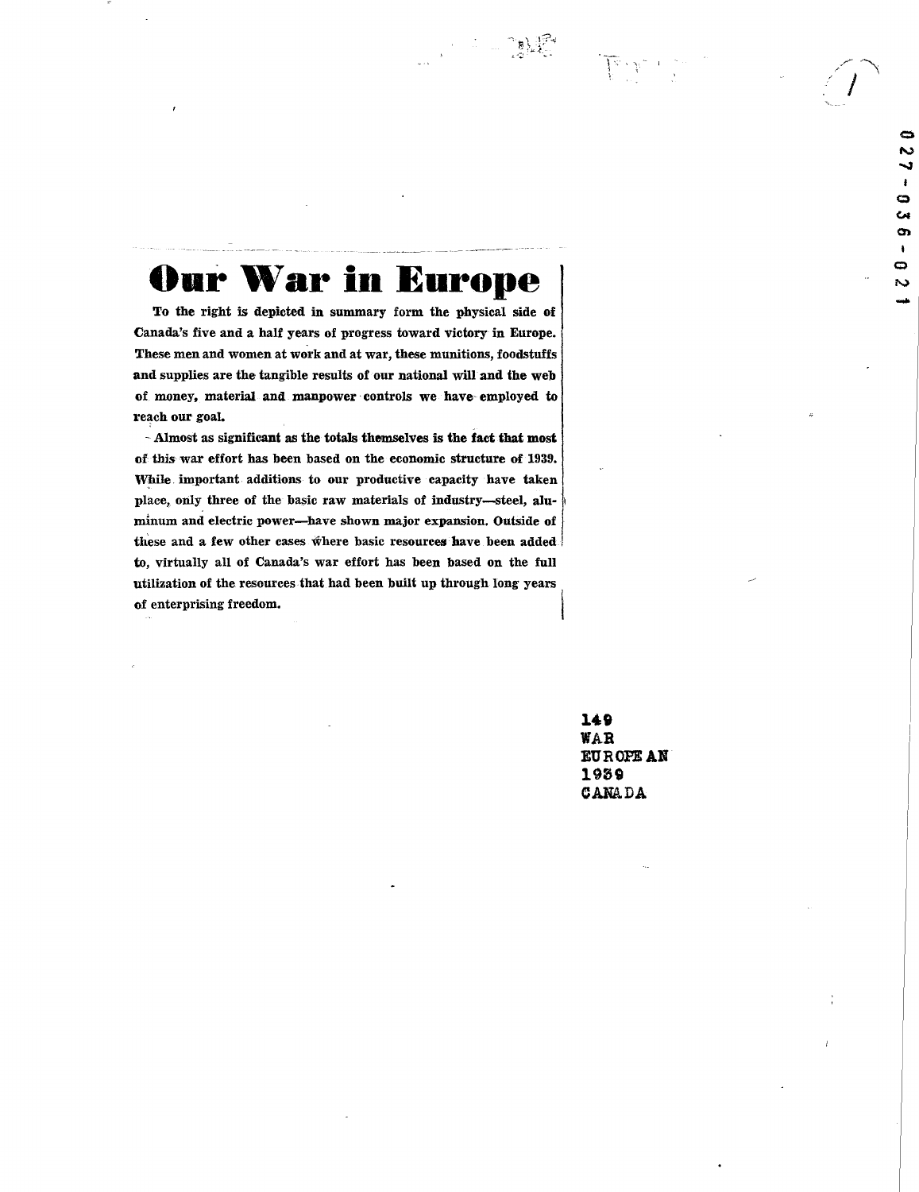Our War in Europe

To the right is depicted in summary form the physical side of Canada's five and a half years of progress toward victory in Europe. These men and women at work and at war, these munitions, foodstuffs and supplies are the tangible results of our national will and the web of money, material- and manpower controls we have- employed to reach our goal.

- Almost as significant as the totals themselves is the fact that most of this war effort has been based on the economic structure of 1939. While. important additions to our productive capacity have taken place, only three of the basic raw materials of industry-steel, aluminum and electric power-have shown major expansion. Outside of these and a few other cases where basic resources have been added to, virtually all of Canada's war effort has been based on the full utilization of the resources that had been built up through long years of enterprising freedom.

> 149 WAR BUROFEAN 1959 CANADA

¢ N

G Ċ4 o,  $\bullet$ Ó S